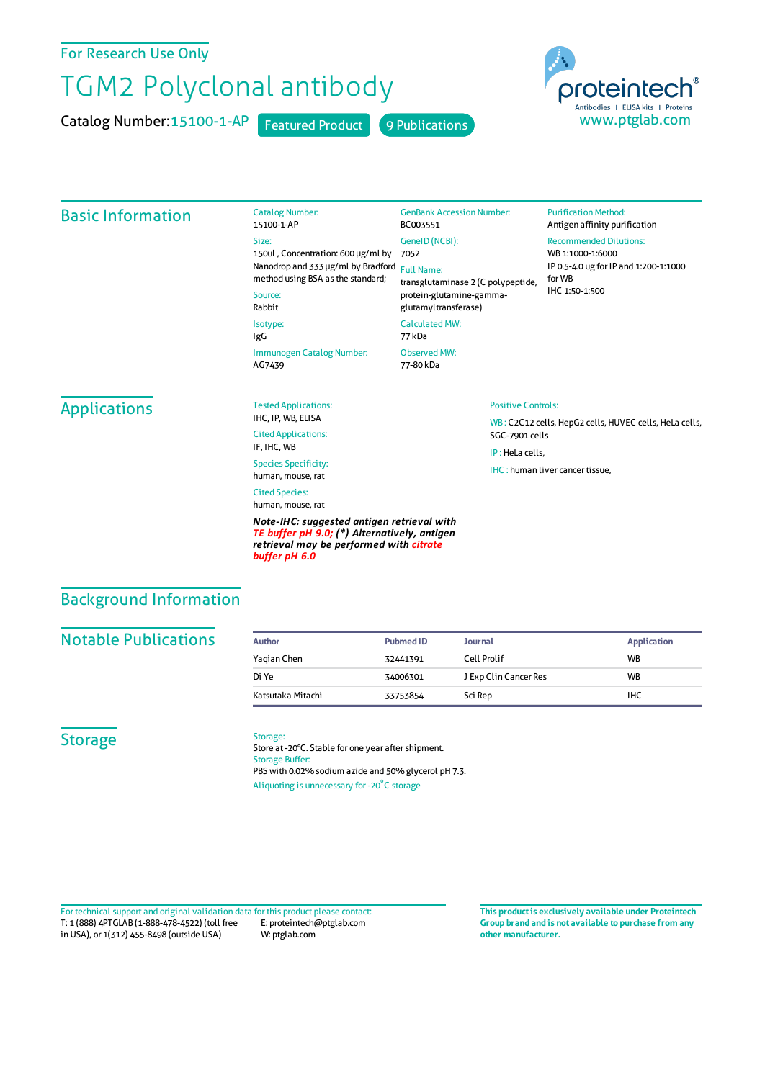# For Research Use Only

# TGM2 Polyclonal antibody

Catalog Number: 15100-1-AP Featured Product 9 Publications

Catalog Number:

BC003551 GeneID(NCBI):



#### Basic Information

#### 15100-1-AP Size: 150ul , Concentration: 600 μg/ml by Nanodrop and 333 μg/ml by Bradford Full Name: method using BSA as the standard; Source: Rabbit Isotype: IgG Immunogen Catalog Number:

AG7439

#### 7052 transglutaminase 2 (C polypeptide, protein-glutamine-gammaglutamyltransferase) CalculatedMW:

GenBank Accession Number:

77 kDa Observed MW:

Positive Controls:

SGC-7901 cells IP : HeLa cells,

IHC : human liver cancer tissue.

77-80 kDa

#### **Purification Method:** Antigen affinity purification

Recommended Dilutions:

WB : C2C12 cells, HepG2 cells, HUVEC cells, HeLa cells,

WB 1:1000-1:6000 IP 0.5-4.0 ug forIP and 1:200-1:1000 forWB IHC 1:50-1:500

# **Applications**

Tested Applications: IHC, IP, WB, ELISA Cited Applications: IF, IHC, WB

Species Specificity: human, mouse, rat Cited Species:

human, mouse, rat

*Note-IHC: suggested antigen retrieval with TE buffer pH 9.0; (\*) Alternatively, antigen retrieval may be performed with citrate buffer pH 6.0*

Background Information

#### **Notable Publications**

| Author            | <b>Pubmed ID</b> | <b>Journal</b>        | <b>Application</b> |
|-------------------|------------------|-----------------------|--------------------|
| Yagian Chen       | 32441391         | Cell Prolif           | <b>WB</b>          |
| Di Ye             | 34006301         | J Exp Clin Cancer Res | <b>WB</b>          |
| Katsutaka Mitachi | 33753854         | Sci Rep               | IHC                |

### **Storage**

Storage:

Store at -20°C. Stable for one year after shipment. Storage Buffer: PBS with 0.02% sodium azide and 50% glycerol pH 7.3. Aliquoting is unnecessary for -20<sup>°</sup>C storage

T: 1 (888) 4PTGLAB (1-888-478-4522) (toll free in USA), or 1(312) 455-8498 (outside USA) E: proteintech@ptglab.com W: ptglab.com Fortechnical support and original validation data forthis product please contact: **This productis exclusively available under Proteintech**

**Group brand and is not available to purchase from any other manufacturer.**